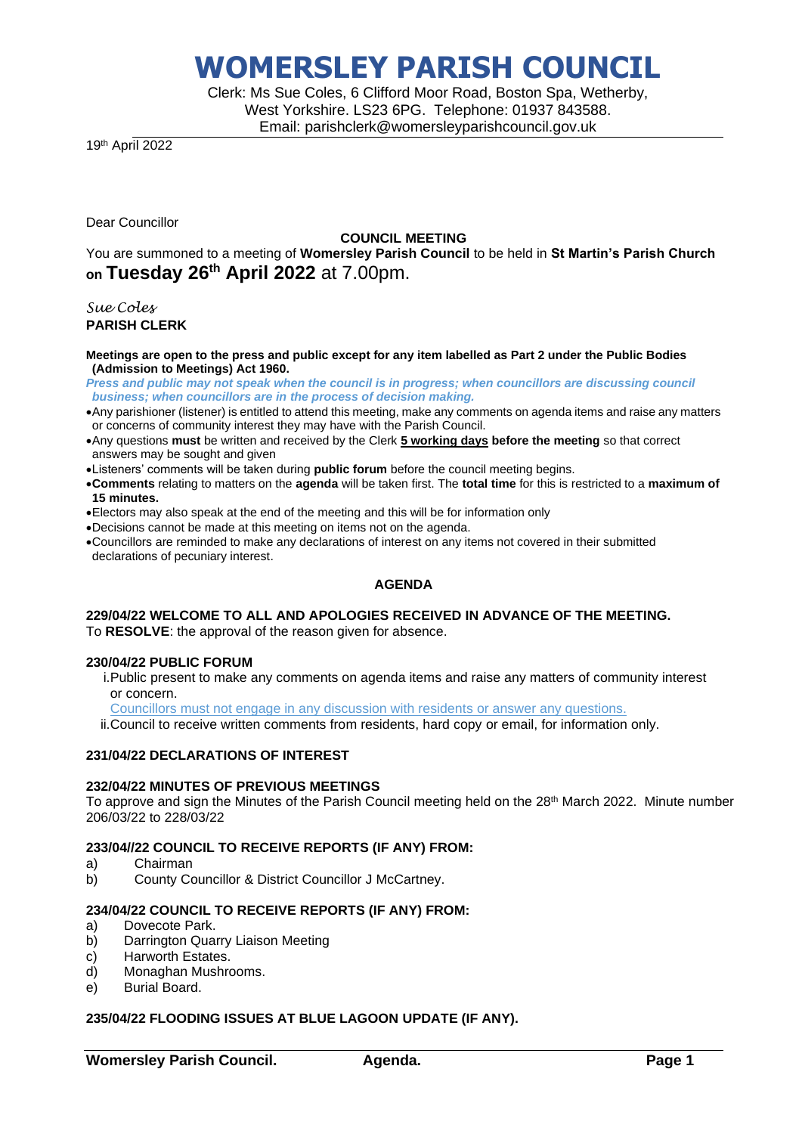# **WOMERSLEY PARISH COUNCIL**

Clerk: Ms Sue Coles, 6 Clifford Moor Road, Boston Spa, Wetherby, West Yorkshire. LS23 6PG. Telephone: 01937 843588. Email: parishclerk@womersleyparishcouncil.gov.uk

19th April 2022

Dear Councillor

# **COUNCIL MEETING**

You are summoned to a meeting of **Womersley Parish Council** to be held in **St Martin's Parish Church on Tuesday 26 th April 2022** at 7.00pm.

*Sue Coles* **PARISH CLERK**

**Meetings are open to the press and public except for any item labelled as Part 2 under the Public Bodies (Admission to Meetings) Act 1960.**

*Press and public may not speak when the council is in progress; when councillors are discussing council business; when councillors are in the process of decision making.*

- •Any parishioner (listener) is entitled to attend this meeting, make any comments on agenda items and raise any matters or concerns of community interest they may have with the Parish Council.
- •Any questions **must** be written and received by the Clerk **5 working days before the meeting** so that correct answers may be sought and given
- •Listeners' comments will be taken during **public forum** before the council meeting begins.
- •**Comments** relating to matters on the **agenda** will be taken first. The **total time** for this is restricted to a **maximum of 15 minutes.**
- •Electors may also speak at the end of the meeting and this will be for information only
- •Decisions cannot be made at this meeting on items not on the agenda.
- •Councillors are reminded to make any declarations of interest on any items not covered in their submitted declarations of pecuniary interest.

# **AGENDA**

# **229/04/22 WELCOME TO ALL AND APOLOGIES RECEIVED IN ADVANCE OF THE MEETING.**

To **RESOLVE**: the approval of the reason given for absence.

### **230/04/22 PUBLIC FORUM**

i.Public present to make any comments on agenda items and raise any matters of community interest or concern.

Councillors must not engage in any discussion with residents or answer any questions.

ii.Council to receive written comments from residents, hard copy or email, for information only.

# **231/04/22 DECLARATIONS OF INTEREST**

### **232/04/22 MINUTES OF PREVIOUS MEETINGS**

To approve and sign the Minutes of the Parish Council meeting held on the 28<sup>th</sup> March 2022. Minute number 206/03/22 to 228/03/22

## **233/04//22 COUNCIL TO RECEIVE REPORTS (IF ANY) FROM:**

- a) Chairman
- b) County Councillor & District Councillor J McCartney.

# **234/04/22 COUNCIL TO RECEIVE REPORTS (IF ANY) FROM:**

- a) Dovecote Park.
- b) Darrington Quarry Liaison Meeting
- c) Harworth Estates.
- d) Monaghan Mushrooms.
- e) Burial Board.

# **235/04/22 FLOODING ISSUES AT BLUE LAGOON UPDATE (IF ANY).**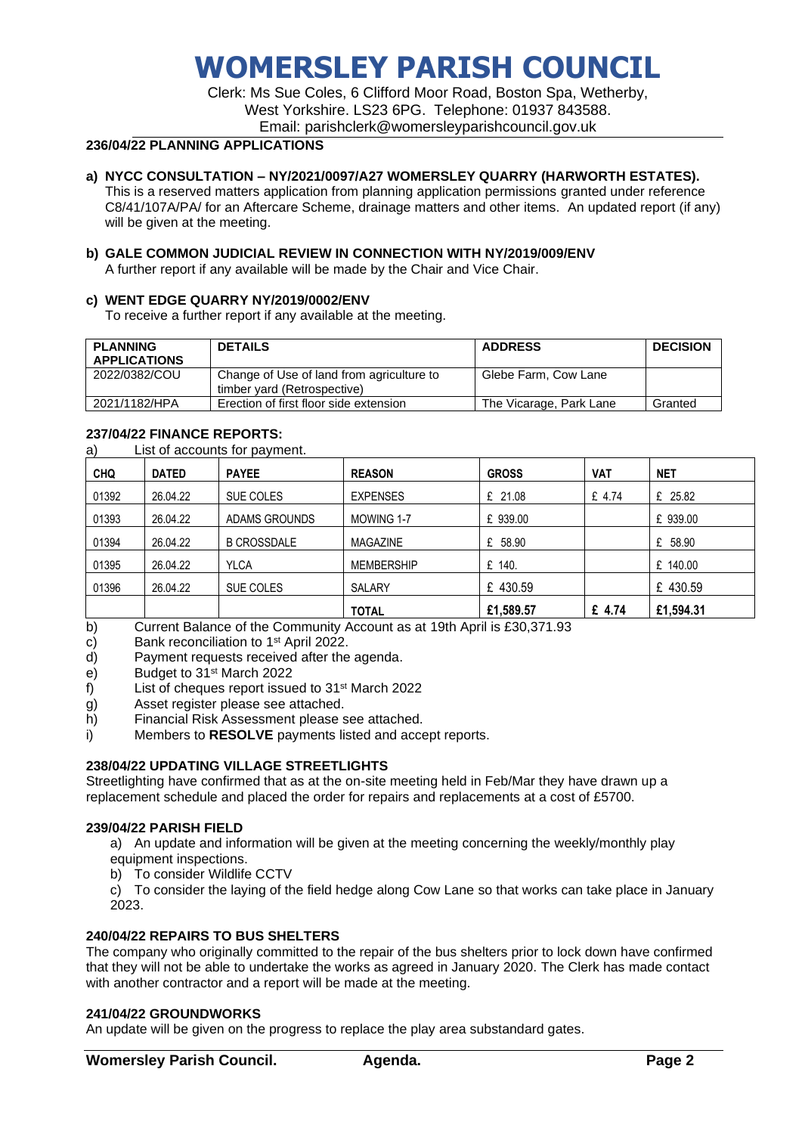# **WOMERSLEY PARISH COUNCIL**

Clerk: Ms Sue Coles, 6 Clifford Moor Road, Boston Spa, Wetherby, West Yorkshire. LS23 6PG. Telephone: 01937 843588. Email: parishclerk@womersleyparishcouncil.gov.uk

# **236/04/22 PLANNING APPLICATIONS**

## **a) NYCC CONSULTATION – NY/2021/0097/A27 WOMERSLEY QUARRY (HARWORTH ESTATES).**

This is a reserved matters application from planning application permissions granted under reference C8/41/107A/PA/ for an Aftercare Scheme, drainage matters and other items. An updated report (if any) will be given at the meeting.

# **b) GALE COMMON JUDICIAL REVIEW IN CONNECTION WITH NY/2019/009/ENV**

A further report if any available will be made by the Chair and Vice Chair.

## **c) WENT EDGE QUARRY NY/2019/0002/ENV**

To receive a further report if any available at the meeting.

| <b>PLANNING</b><br><b>APPLICATIONS</b> | <b>DETAILS</b>                                                           | <b>ADDRESS</b>          | <b>DECISION</b> |
|----------------------------------------|--------------------------------------------------------------------------|-------------------------|-----------------|
| 2022/0382/COU                          | Change of Use of land from agriculture to<br>timber vard (Retrospective) | Glebe Farm, Cow Lane    |                 |
| 2021/1182/HPA                          | Erection of first floor side extension                                   | The Vicarage, Park Lane | Granted         |

## **237/04/22 FINANCE REPORTS:**

a) List of accounts for payment.

| <b>CHQ</b>       | <b>DATED</b> | <b>PAYEE</b>         | <b>REASON</b>     | <b>GROSS</b> | <b>VAT</b> | <b>NET</b> |
|------------------|--------------|----------------------|-------------------|--------------|------------|------------|
| 01392            | 26.04.22     | SUE COLES            | <b>EXPENSES</b>   | £ 21.08      | £ 4.74     | £ 25.82    |
| 01393            | 26.04.22     | <b>ADAMS GROUNDS</b> | MOWING 1-7        | £ 939.00     |            | £ 939.00   |
| 01394            | 26.04.22     | <b>B CROSSDALE</b>   | <b>MAGAZINE</b>   | £ 58.90      |            | £ 58.90    |
| 01395            | 26.04.22     | <b>YLCA</b>          | <b>MEMBERSHIP</b> | £ 140.       |            | £ 140.00   |
| 01396            | 26.04.22     | SUE COLES            | SALARY            | £ 430.59     |            | £ 430.59   |
| $\sim$<br>$\sim$ |              |                      | <b>TOTAL</b>      | £1,589.57    | £ 4.74     | £1,594.31  |

b) Current Balance of the Community Account as at 19th April is £30,371.93

c) Bank reconciliation to 1<sup>st</sup> April 2022.

d) Payment requests received after the agenda.

e) Budget to 31st March 2022

f) List of cheques report issued to 31st March 2022

g) Asset register please see attached.

h) Financial Risk Assessment please see attached.

i) Members to **RESOLVE** payments listed and accept reports.

# **238/04/22 UPDATING VILLAGE STREETLIGHTS**

Streetlighting have confirmed that as at the on-site meeting held in Feb/Mar they have drawn up a replacement schedule and placed the order for repairs and replacements at a cost of £5700.

# **239/04/22 PARISH FIELD**

a) An update and information will be given at the meeting concerning the weekly/monthly play equipment inspections.

b) To consider Wildlife CCTV

c) To consider the laying of the field hedge along Cow Lane so that works can take place in January 2023.

# **240/04/22 REPAIRS TO BUS SHELTERS**

The company who originally committed to the repair of the bus shelters prior to lock down have confirmed that they will not be able to undertake the works as agreed in January 2020. The Clerk has made contact with another contractor and a report will be made at the meeting.

### **241/04/22 GROUNDWORKS**

An update will be given on the progress to replace the play area substandard gates.